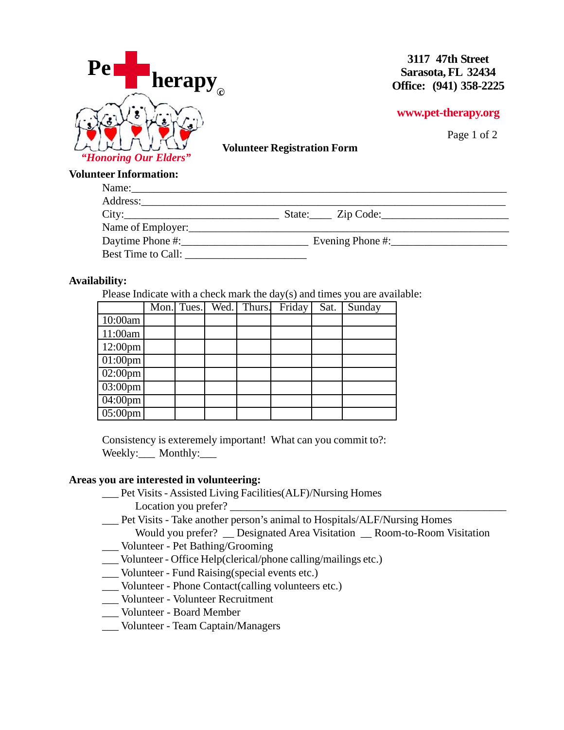

**3117 47th Street Sarasota, FL 32434 Office: (941) 358-2225**

## **www.pet-therapy.org**

Page 1 of 2

**Volunteer Registration Form**

## **Volunteer Information:**

| Name:                |                  |
|----------------------|------------------|
|                      |                  |
| City:                | State: Zip Code: |
| Name of Employer:    |                  |
|                      | Evening Phone #: |
| Best Time to Call: _ |                  |

## **Availability:**

Please Indicate with a check mark the day(s) and times you are available:

|                      | Mon. Tues. | Wed. Thurs. | Friday | Sat. | Sunday |
|----------------------|------------|-------------|--------|------|--------|
| 10:00am              |            |             |        |      |        |
| 11:00am              |            |             |        |      |        |
| $12:00 \text{pm}$    |            |             |        |      |        |
| $\boxed{01:00pm}$    |            |             |        |      |        |
| $\sqrt{02:00}$ pm    |            |             |        |      |        |
| $\overline{03:00pm}$ |            |             |        |      |        |
| $\sqrt{04:00}$ pm    |            |             |        |      |        |
| $05:00 \text{pm}$    |            |             |        |      |        |

Consistency is exteremely important! What can you commit to?: Weekly:\_\_\_\_ Monthly:\_\_\_\_

## **Areas you are interested in volunteering:**

- \_\_\_ Pet Visits Assisted Living Facilities(ALF)/Nursing Homes
	- Location you prefer?
- \_\_\_ Pet Visits Take another person's animal to Hospitals/ALF/Nursing Homes
- Would you prefer? Designated Area Visitation Room-to-Room Visitation \_\_\_ Volunteer - Pet Bathing/Grooming
- \_\_\_ Volunteer Office Help(clerical/phone calling/mailings etc.)
- \_\_\_ Volunteer Fund Raising(special events etc.)
- \_\_\_ Volunteer Phone Contact(calling volunteers etc.)
- \_\_\_ Volunteer Volunteer Recruitment
- \_\_\_ Volunteer Board Member
- \_\_\_ Volunteer Team Captain/Managers